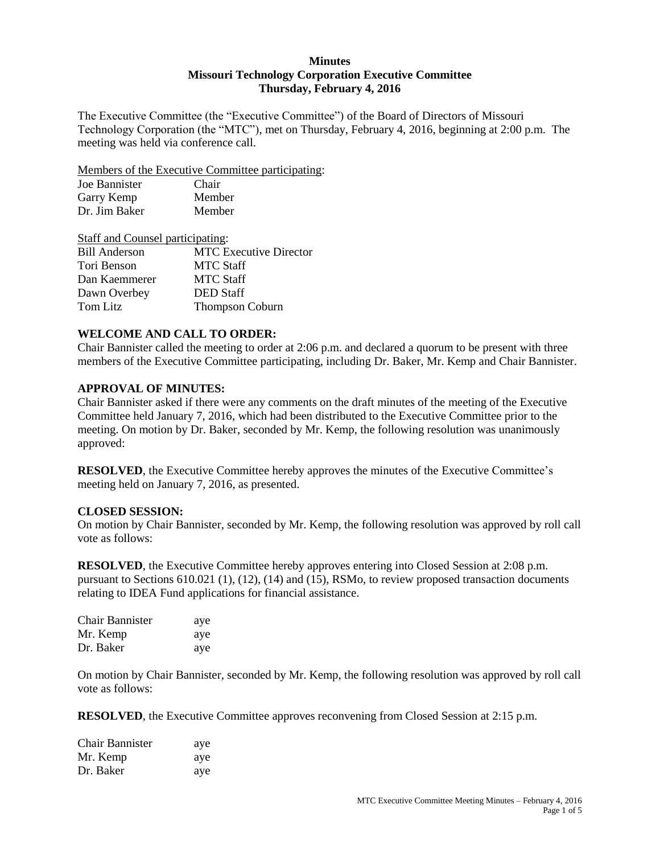### **Minutes Missouri Technology Corporation Executive Committee Thursday, February 4, 2016**

The Executive Committee (the "Executive Committee") of the Board of Directors of Missouri Technology Corporation (the "MTC"), met on Thursday, February 4, 2016, beginning at 2:00 p.m. The meeting was held via conference call.

Members of the Executive Committee participating:

| Joe Bannister | Chair  |
|---------------|--------|
| Garry Kemp    | Member |
| Dr. Jim Baker | Member |

| <b>Staff and Counsel participating:</b> |                               |  |
|-----------------------------------------|-------------------------------|--|
| <b>Bill Anderson</b>                    | <b>MTC</b> Executive Director |  |
| Tori Benson                             | <b>MTC Staff</b>              |  |
| Dan Kaemmerer                           | <b>MTC Staff</b>              |  |
| Dawn Overbey                            | <b>DED</b> Staff              |  |
| Tom Litz                                | <b>Thompson Coburn</b>        |  |

### **WELCOME AND CALL TO ORDER:**

Chair Bannister called the meeting to order at 2:06 p.m. and declared a quorum to be present with three members of the Executive Committee participating, including Dr. Baker, Mr. Kemp and Chair Bannister.

#### **APPROVAL OF MINUTES:**

Chair Bannister asked if there were any comments on the draft minutes of the meeting of the Executive Committee held January 7, 2016, which had been distributed to the Executive Committee prior to the meeting. On motion by Dr. Baker, seconded by Mr. Kemp, the following resolution was unanimously approved:

**RESOLVED**, the Executive Committee hereby approves the minutes of the Executive Committee's meeting held on January 7, 2016, as presented.

### **CLOSED SESSION:**

On motion by Chair Bannister, seconded by Mr. Kemp, the following resolution was approved by roll call vote as follows:

**RESOLVED**, the Executive Committee hereby approves entering into Closed Session at 2:08 p.m. pursuant to Sections 610.021 (1), (12), (14) and (15), RSMo, to review proposed transaction documents relating to IDEA Fund applications for financial assistance.

| Chair Bannister | aye |
|-----------------|-----|
| Mr. Kemp        | aye |
| Dr. Baker       | aye |

On motion by Chair Bannister, seconded by Mr. Kemp, the following resolution was approved by roll call vote as follows:

**RESOLVED**, the Executive Committee approves reconvening from Closed Session at 2:15 p.m.

| <b>Chair Bannister</b> | aye |
|------------------------|-----|
| Mr. Kemp               | aye |
| Dr. Baker              | aye |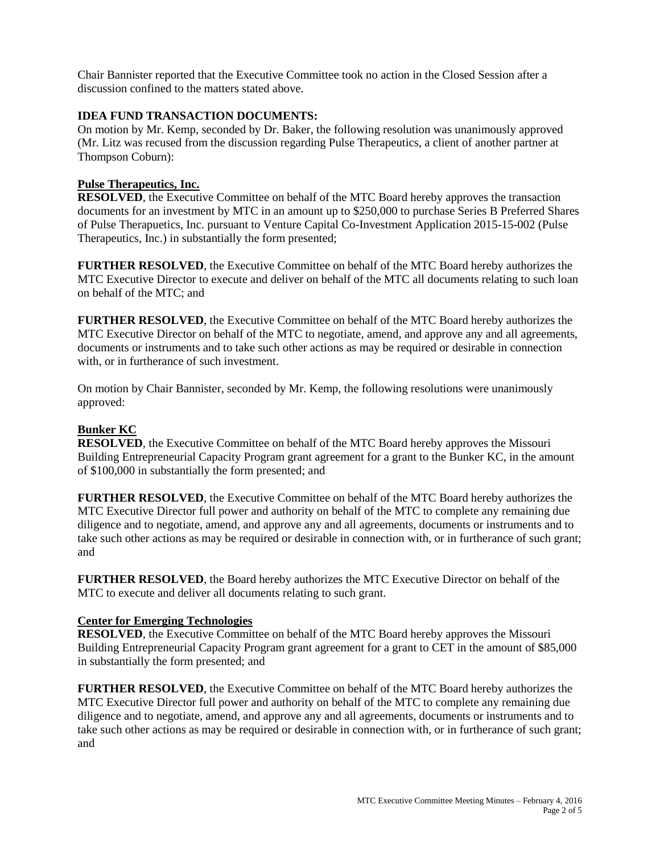Chair Bannister reported that the Executive Committee took no action in the Closed Session after a discussion confined to the matters stated above.

## **IDEA FUND TRANSACTION DOCUMENTS:**

On motion by Mr. Kemp, seconded by Dr. Baker, the following resolution was unanimously approved (Mr. Litz was recused from the discussion regarding Pulse Therapeutics, a client of another partner at Thompson Coburn):

### **Pulse Therapeutics, Inc.**

**RESOLVED**, the Executive Committee on behalf of the MTC Board hereby approves the transaction documents for an investment by MTC in an amount up to \$250,000 to purchase Series B Preferred Shares of Pulse Therapuetics, Inc. pursuant to Venture Capital Co-Investment Application 2015-15-002 (Pulse Therapeutics, Inc.) in substantially the form presented;

**FURTHER RESOLVED**, the Executive Committee on behalf of the MTC Board hereby authorizes the MTC Executive Director to execute and deliver on behalf of the MTC all documents relating to such loan on behalf of the MTC; and

**FURTHER RESOLVED**, the Executive Committee on behalf of the MTC Board hereby authorizes the MTC Executive Director on behalf of the MTC to negotiate, amend, and approve any and all agreements, documents or instruments and to take such other actions as may be required or desirable in connection with, or in furtherance of such investment.

On motion by Chair Bannister, seconded by Mr. Kemp, the following resolutions were unanimously approved:

### **Bunker KC**

**RESOLVED**, the Executive Committee on behalf of the MTC Board hereby approves the Missouri Building Entrepreneurial Capacity Program grant agreement for a grant to the Bunker KC, in the amount of \$100,000 in substantially the form presented; and

**FURTHER RESOLVED**, the Executive Committee on behalf of the MTC Board hereby authorizes the MTC Executive Director full power and authority on behalf of the MTC to complete any remaining due diligence and to negotiate, amend, and approve any and all agreements, documents or instruments and to take such other actions as may be required or desirable in connection with, or in furtherance of such grant; and

**FURTHER RESOLVED**, the Board hereby authorizes the MTC Executive Director on behalf of the MTC to execute and deliver all documents relating to such grant.

### **Center for Emerging Technologies**

**RESOLVED**, the Executive Committee on behalf of the MTC Board hereby approves the Missouri Building Entrepreneurial Capacity Program grant agreement for a grant to CET in the amount of \$85,000 in substantially the form presented; and

**FURTHER RESOLVED**, the Executive Committee on behalf of the MTC Board hereby authorizes the MTC Executive Director full power and authority on behalf of the MTC to complete any remaining due diligence and to negotiate, amend, and approve any and all agreements, documents or instruments and to take such other actions as may be required or desirable in connection with, or in furtherance of such grant; and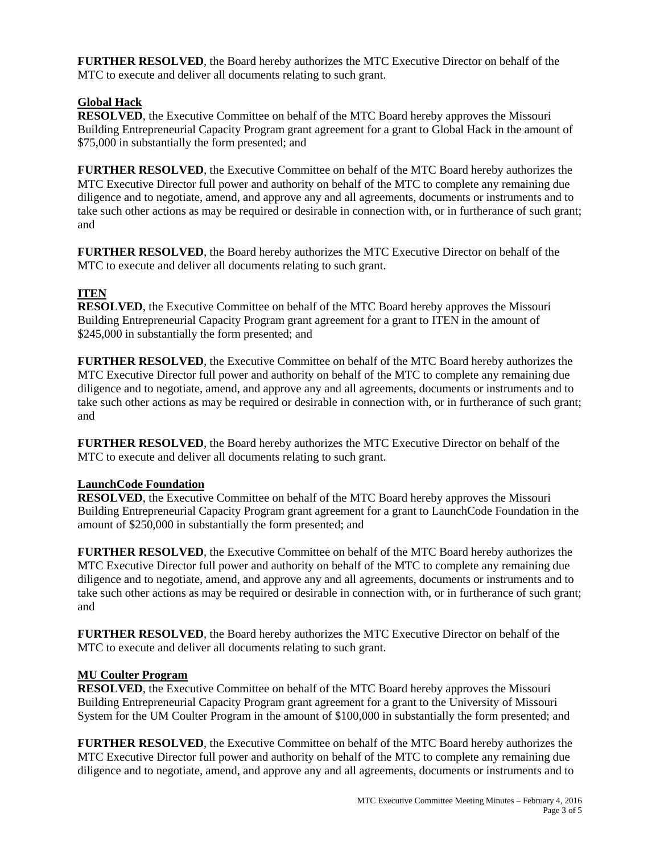**FURTHER RESOLVED**, the Board hereby authorizes the MTC Executive Director on behalf of the MTC to execute and deliver all documents relating to such grant.

# **Global Hack**

**RESOLVED**, the Executive Committee on behalf of the MTC Board hereby approves the Missouri Building Entrepreneurial Capacity Program grant agreement for a grant to Global Hack in the amount of \$75,000 in substantially the form presented; and

**FURTHER RESOLVED**, the Executive Committee on behalf of the MTC Board hereby authorizes the MTC Executive Director full power and authority on behalf of the MTC to complete any remaining due diligence and to negotiate, amend, and approve any and all agreements, documents or instruments and to take such other actions as may be required or desirable in connection with, or in furtherance of such grant; and

**FURTHER RESOLVED**, the Board hereby authorizes the MTC Executive Director on behalf of the MTC to execute and deliver all documents relating to such grant.

# **ITEN**

**RESOLVED**, the Executive Committee on behalf of the MTC Board hereby approves the Missouri Building Entrepreneurial Capacity Program grant agreement for a grant to ITEN in the amount of \$245,000 in substantially the form presented; and

**FURTHER RESOLVED**, the Executive Committee on behalf of the MTC Board hereby authorizes the MTC Executive Director full power and authority on behalf of the MTC to complete any remaining due diligence and to negotiate, amend, and approve any and all agreements, documents or instruments and to take such other actions as may be required or desirable in connection with, or in furtherance of such grant; and

**FURTHER RESOLVED**, the Board hereby authorizes the MTC Executive Director on behalf of the MTC to execute and deliver all documents relating to such grant.

### **LaunchCode Foundation**

**RESOLVED**, the Executive Committee on behalf of the MTC Board hereby approves the Missouri Building Entrepreneurial Capacity Program grant agreement for a grant to LaunchCode Foundation in the amount of \$250,000 in substantially the form presented; and

**FURTHER RESOLVED**, the Executive Committee on behalf of the MTC Board hereby authorizes the MTC Executive Director full power and authority on behalf of the MTC to complete any remaining due diligence and to negotiate, amend, and approve any and all agreements, documents or instruments and to take such other actions as may be required or desirable in connection with, or in furtherance of such grant; and

**FURTHER RESOLVED**, the Board hereby authorizes the MTC Executive Director on behalf of the MTC to execute and deliver all documents relating to such grant.

# **MU Coulter Program**

**RESOLVED**, the Executive Committee on behalf of the MTC Board hereby approves the Missouri Building Entrepreneurial Capacity Program grant agreement for a grant to the University of Missouri System for the UM Coulter Program in the amount of \$100,000 in substantially the form presented; and

**FURTHER RESOLVED**, the Executive Committee on behalf of the MTC Board hereby authorizes the MTC Executive Director full power and authority on behalf of the MTC to complete any remaining due diligence and to negotiate, amend, and approve any and all agreements, documents or instruments and to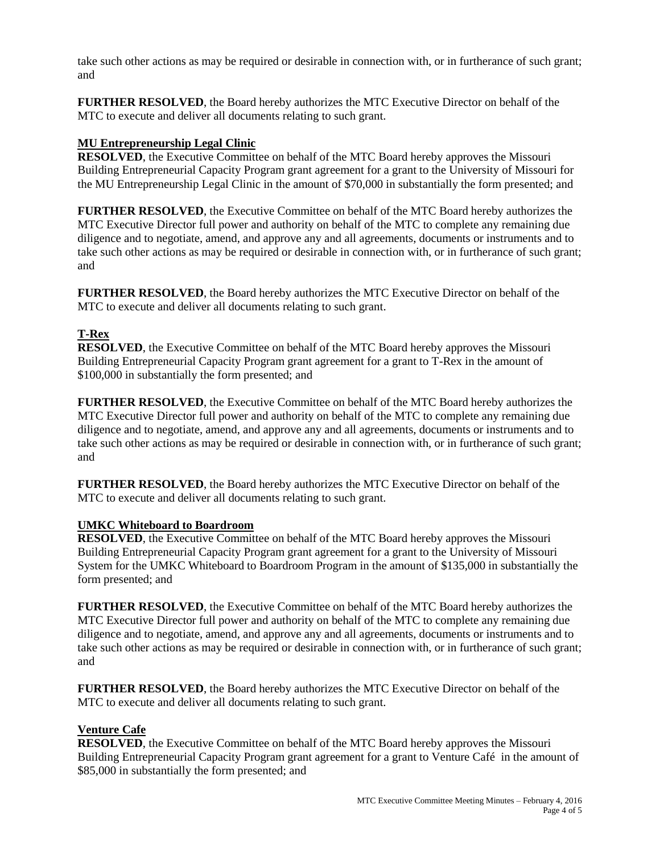take such other actions as may be required or desirable in connection with, or in furtherance of such grant; and

**FURTHER RESOLVED**, the Board hereby authorizes the MTC Executive Director on behalf of the MTC to execute and deliver all documents relating to such grant.

## **MU Entrepreneurship Legal Clinic**

**RESOLVED**, the Executive Committee on behalf of the MTC Board hereby approves the Missouri Building Entrepreneurial Capacity Program grant agreement for a grant to the University of Missouri for the MU Entrepreneurship Legal Clinic in the amount of \$70,000 in substantially the form presented; and

**FURTHER RESOLVED**, the Executive Committee on behalf of the MTC Board hereby authorizes the MTC Executive Director full power and authority on behalf of the MTC to complete any remaining due diligence and to negotiate, amend, and approve any and all agreements, documents or instruments and to take such other actions as may be required or desirable in connection with, or in furtherance of such grant; and

**FURTHER RESOLVED**, the Board hereby authorizes the MTC Executive Director on behalf of the MTC to execute and deliver all documents relating to such grant.

# **T-Rex**

**RESOLVED**, the Executive Committee on behalf of the MTC Board hereby approves the Missouri Building Entrepreneurial Capacity Program grant agreement for a grant to T-Rex in the amount of \$100,000 in substantially the form presented; and

**FURTHER RESOLVED**, the Executive Committee on behalf of the MTC Board hereby authorizes the MTC Executive Director full power and authority on behalf of the MTC to complete any remaining due diligence and to negotiate, amend, and approve any and all agreements, documents or instruments and to take such other actions as may be required or desirable in connection with, or in furtherance of such grant; and

**FURTHER RESOLVED**, the Board hereby authorizes the MTC Executive Director on behalf of the MTC to execute and deliver all documents relating to such grant.

### **UMKC Whiteboard to Boardroom**

**RESOLVED**, the Executive Committee on behalf of the MTC Board hereby approves the Missouri Building Entrepreneurial Capacity Program grant agreement for a grant to the University of Missouri System for the UMKC Whiteboard to Boardroom Program in the amount of \$135,000 in substantially the form presented; and

**FURTHER RESOLVED**, the Executive Committee on behalf of the MTC Board hereby authorizes the MTC Executive Director full power and authority on behalf of the MTC to complete any remaining due diligence and to negotiate, amend, and approve any and all agreements, documents or instruments and to take such other actions as may be required or desirable in connection with, or in furtherance of such grant; and

**FURTHER RESOLVED**, the Board hereby authorizes the MTC Executive Director on behalf of the MTC to execute and deliver all documents relating to such grant.

# **Venture Cafe**

**RESOLVED**, the Executive Committee on behalf of the MTC Board hereby approves the Missouri Building Entrepreneurial Capacity Program grant agreement for a grant to Venture Café in the amount of \$85,000 in substantially the form presented; and